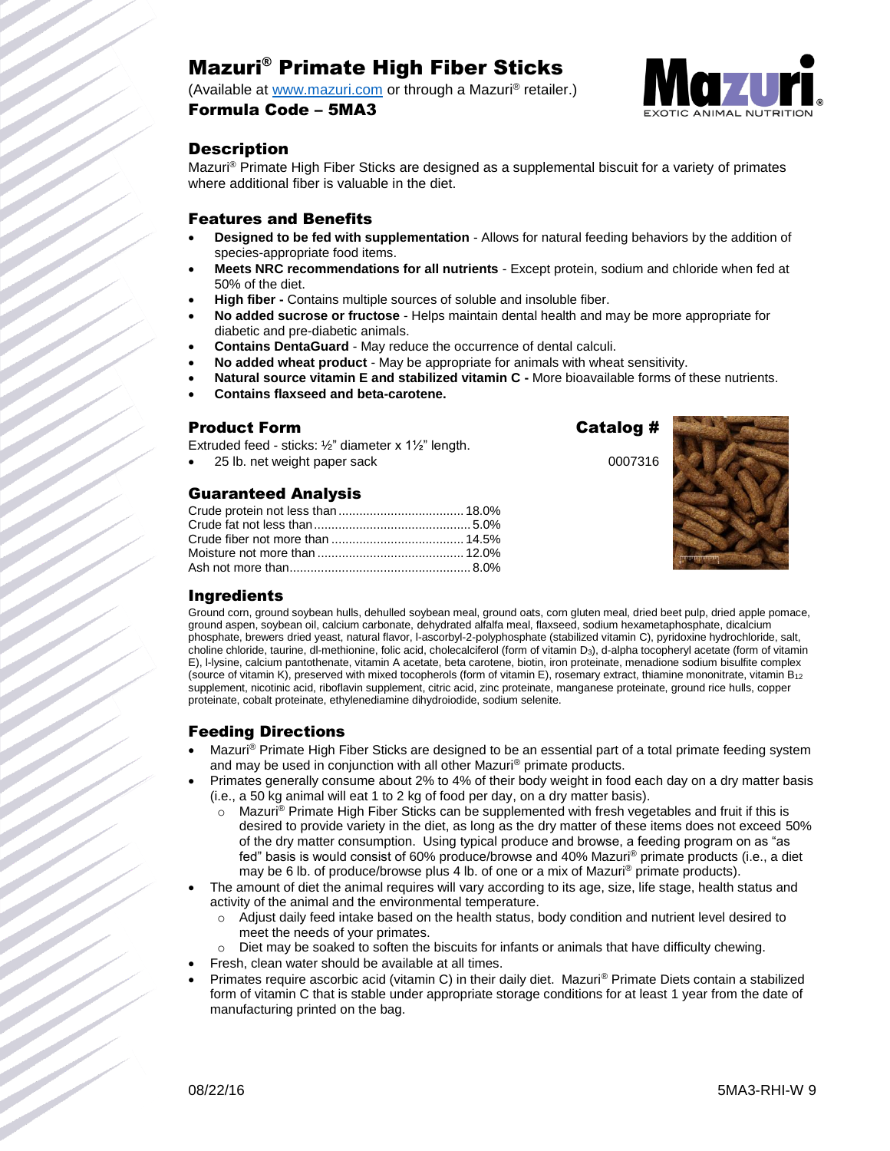# Mazuri® Primate High Fiber Sticks

(Available at [www.mazuri.com](http://www.mazuri.com/) or through a Mazuri® retailer.)

#### Formula Code – 5MA3



## **Description**

Mazuri® Primate High Fiber Sticks are designed as a supplemental biscuit for a variety of primates where additional fiber is valuable in the diet.

#### Features and Benefits

- **Designed to be fed with supplementation**  Allows for natural feeding behaviors by the addition of species-appropriate food items.
- **Meets NRC recommendations for all nutrients** Except protein, sodium and chloride when fed at 50% of the diet.
- **High fiber -** Contains multiple sources of soluble and insoluble fiber.
- **No added sucrose or fructose** Helps maintain dental health and may be more appropriate for diabetic and pre-diabetic animals.
- **Contains DentaGuard** May reduce the occurrence of dental calculi.
- **No added wheat product** May be appropriate for animals with wheat sensitivity.
- **Natural source vitamin E and stabilized vitamin C -** More bioavailable forms of these nutrients.
- **Contains flaxseed and beta-carotene.**

#### Product Form **Catalog #**

Extruded feed - sticks: ½" diameter x 1½" length.

25 lb. net weight paper sack 0007316

## Guaranteed Analysis



#### Ingredients

Ground corn, ground soybean hulls, dehulled soybean meal, ground oats, corn gluten meal, dried beet pulp, dried apple pomace, ground aspen, soybean oil, calcium carbonate, dehydrated alfalfa meal, flaxseed, sodium hexametaphosphate, dicalcium phosphate, brewers dried yeast, natural flavor, l-ascorbyl-2-polyphosphate (stabilized vitamin C), pyridoxine hydrochloride, salt, choline chloride, taurine, dl-methionine, folic acid, cholecalciferol (form of vitamin D3), d-alpha tocopheryl acetate (form of vitamin E), l-lysine, calcium pantothenate, vitamin A acetate, beta carotene, biotin, iron proteinate, menadione sodium bisulfite complex (source of vitamin K), preserved with mixed tocopherols (form of vitamin E), rosemary extract, thiamine mononitrate, vitamin B<sup>12</sup> supplement, nicotinic acid, riboflavin supplement, citric acid, zinc proteinate, manganese proteinate, ground rice hulls, copper proteinate, cobalt proteinate, ethylenediamine dihydroiodide, sodium selenite.

# Feeding Directions

- Mazuri<sup>®</sup> Primate High Fiber Sticks are designed to be an essential part of a total primate feeding system and may be used in conjunction with all other Mazuri® primate products.
- Primates generally consume about 2% to 4% of their body weight in food each day on a dry matter basis (i.e., a 50 kg animal will eat 1 to 2 kg of food per day, on a dry matter basis).
	- $\circ$  Mazuri® Primate High Fiber Sticks can be supplemented with fresh vegetables and fruit if this is desired to provide variety in the diet, as long as the dry matter of these items does not exceed 50% of the dry matter consumption. Using typical produce and browse, a feeding program on as "as fed" basis is would consist of 60% produce/browse and 40% Mazuri® primate products (i.e., a diet may be 6 lb. of produce/browse plus 4 lb. of one or a mix of Mazuri<sup>®</sup> primate products).
- The amount of diet the animal requires will vary according to its age, size, life stage, health status and activity of the animal and the environmental temperature.
	- $\circ$  Adjust daily feed intake based on the health status, body condition and nutrient level desired to meet the needs of your primates.
	- Diet may be soaked to soften the biscuits for infants or animals that have difficulty chewing.
- Fresh, clean water should be available at all times.
- Primates require ascorbic acid (vitamin C) in their daily diet. Mazuri® Primate Diets contain a stabilized form of vitamin C that is stable under appropriate storage conditions for at least 1 year from the date of manufacturing printed on the bag.